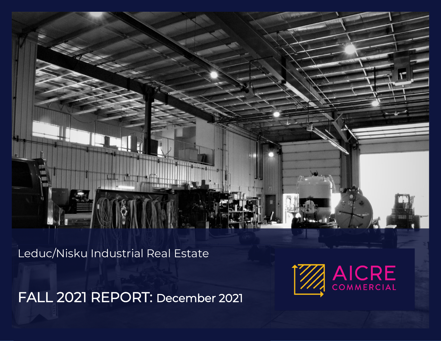Leduc/Nisku Industrial Real Estate

FALL 2021 REPORT: December 2021

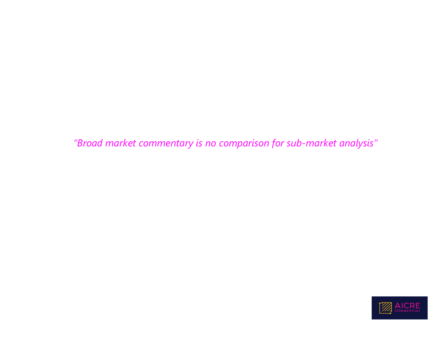*"Broad market commentary is no comparison for sub-market analysis"*

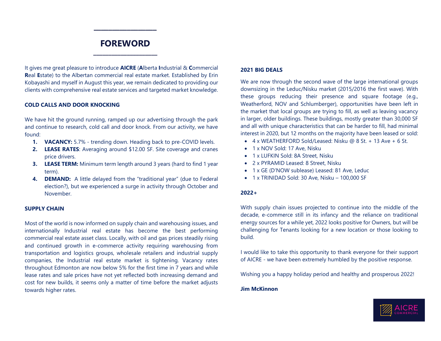### **FOREWORD \_\_\_\_\_\_\_\_\_\_\_\_\_\_\_\_\_\_\_\_\_**

 $\overline{\phantom{a}}$ 

It gives me great pleasure to introduce **AICRE** (**A**lberta **I**ndustrial & **C**ommercial **R**eal **E**state) to the Albertan commercial real estate market. Established by Erin Kobayashi and myself in August this year, we remain dedicated to providing our clients with comprehensive real estate services and targeted market knowledge.

#### **COLD CALLS AND DOOR KNOCKING**

We have hit the ground running, ramped up our advertising through the park and continue to research, cold call and door knock. From our activity, we have found:

- **1. VACANCY:** 5.7% trending down. Heading back to pre-COVID levels.
- **2. LEASE RATES**: Averaging around \$12.00 SF. Site coverage and cranes price drivers.
- **3. LEASE TERM:** Minimum term length around 3 years (hard to find 1 year term).
- **4. DEMAND:** A little delayed from the "traditional year" (due to Federal election?), but we experienced a surge in activity through October and November.

#### **SUPPLY CHAIN**

Most of the world is now informed on supply chain and warehousing issues, and internationally Industrial real estate has become the best performing commercial real estate asset class. Locally, with oil and gas prices steadily rising and continued growth in e-commerce activity requiring warehousing from transportation and logistics groups, wholesale retailers and industrial supply companies, the Industrial real estate market is tightening. Vacancy rates throughout Edmonton are now below 5% for the first time in 7 years and while lease rates and sale prices have not yet reflected both increasing demand and cost for new builds, it seems only a matter of time before the market adjusts towards higher rates.

#### **2021 BIG DEALS**

We are now through the second wave of the large international groups downsizing in the Leduc/Nisku market (2015/2016 the first wave). With these groups reducing their presence and square footage (e.g., Weatherford, NOV and Schlumberger), opportunities have been left in the market that local groups are trying to fill, as well as leaving vacancy in larger, older buildings. These buildings, mostly greater than 30,000 SF and all with unique characteristics that can be harder to fill, had minimal interest in 2020, but 12 months on the majority have been leased or sold:

- 4 x WEATHERFORD Sold/Leased: Nisku @ 8 St. + 13 Ave + 6 St.
- 1 x NOV Sold: 17 Ave, Nisku
- 1 x LUFKIN Sold: 8A Street, Nisku
- 2 x PYRAMID Leased: 8 Street, Nisku
- 1 x GE (D'NOW sublease) Leased: 81 Ave, Leduc
- 1 x TRINIDAD Sold: 30 Ave, Nisku 100,000 SF

#### **2022+**

With supply chain issues projected to continue into the middle of the decade, e-commerce still in its infancy and the reliance on traditional energy sources for a while yet, 2022 looks positive for Owners, but will be challenging for Tenants looking for a new location or those looking to build.

I would like to take this opportunity to thank everyone for their support of AICRE - we have been extremely humbled by the positive response.

Wishing you a happy holiday period and healthy and prosperous 2022!

#### **Jim McKinnon**